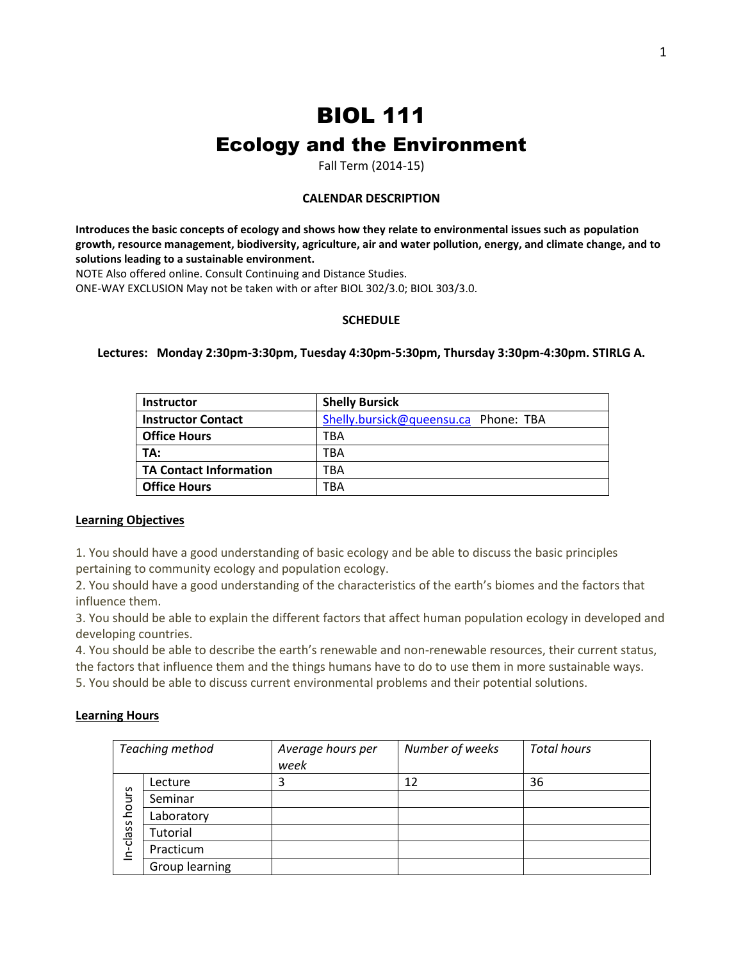# BIOL 111 Ecology and the Environment

Fall Term (2014-15)

# **CALENDAR DESCRIPTION**

**Introduces the basic concepts of ecology and shows how they relate to environmental issues such as population growth, resource management, biodiversity, agriculture, air and water pollution, energy, and climate change, and to solutions leading to a sustainable environment.** 

NOTE Also offered online. Consult Continuing and Distance Studies.

ONE-WAY EXCLUSION May not be taken with or after BIOL 302/3.0; BIOL 303/3.0.

# **SCHEDULE**

## **Lectures: Monday 2:30pm-3:30pm, Tuesday 4:30pm-5:30pm, Thursday 3:30pm-4:30pm. STIRLG A.**

| <b>Instructor</b>             | <b>Shelly Bursick</b>                |
|-------------------------------|--------------------------------------|
| <b>Instructor Contact</b>     | Shelly.bursick@queensu.ca Phone: TBA |
| <b>Office Hours</b>           | TBA                                  |
| TA:                           | TBA                                  |
| <b>TA Contact Information</b> | TBA                                  |
| <b>Office Hours</b>           | TBA                                  |

# **Learning Objectives**

1. You should have a good understanding of basic ecology and be able to discuss the basic principles pertaining to community ecology and population ecology.

2. You should have a good understanding of the characteristics of the earth's biomes and the factors that influence them.

3. You should be able to explain the different factors that affect human population ecology in developed and developing countries.

4. You should be able to describe the earth's renewable and non-renewable resources, their current status, the factors that influence them and the things humans have to do to use them in more sustainable ways. 5. You should be able to discuss current environmental problems and their potential solutions.

## **Learning Hours**

| Teaching method |                | Average hours per<br>week | Number of weeks | <b>Total hours</b> |
|-----------------|----------------|---------------------------|-----------------|--------------------|
| hours           | Lecture        |                           | 12              | 36                 |
|                 | Seminar        |                           |                 |                    |
|                 | Laboratory     |                           |                 |                    |
| n-class         | Tutorial       |                           |                 |                    |
|                 | Practicum      |                           |                 |                    |
|                 | Group learning |                           |                 |                    |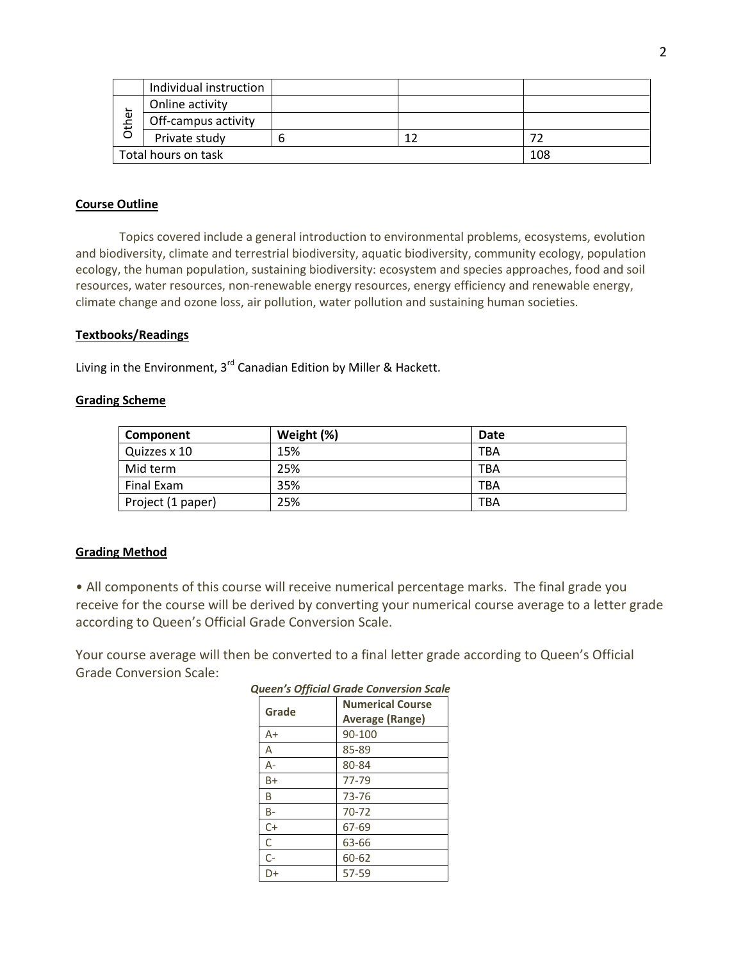|                            | Individual instruction |  |  |  |
|----------------------------|------------------------|--|--|--|
| ؎<br>يو<br>풍               | Online activity        |  |  |  |
|                            | Off-campus activity    |  |  |  |
|                            | Private study          |  |  |  |
| Total hours on task<br>108 |                        |  |  |  |

# **Course Outline**

Topics covered include a general introduction to environmental problems, ecosystems, evolution and biodiversity, climate and terrestrial biodiversity, aquatic biodiversity, community ecology, population ecology, the human population, sustaining biodiversity: ecosystem and species approaches, food and soil resources, water resources, non-renewable energy resources, energy efficiency and renewable energy, climate change and ozone loss, air pollution, water pollution and sustaining human societies.

## **Textbooks/Readings**

Living in the Environment,  $3^{rd}$  Canadian Edition by Miller & Hackett.

## **Grading Scheme**

| Component         | Weight (%) | Date       |
|-------------------|------------|------------|
| Quizzes x 10      | 15%        | TBA        |
| Mid term          | 25%        | <b>TBA</b> |
| Final Exam        | 35%        | TBA        |
| Project (1 paper) | 25%        | <b>TBA</b> |

## **Grading Method**

• All components of this course will receive numerical percentage marks. The final grade you receive for the course will be derived by converting your numerical course average to a letter grade according to Queen's Official Grade Conversion Scale.

Your course average will then be converted to a final letter grade according to Queen's Official Grade Conversion Scale:

| queen s'Official Grade Conversion Scale |                         |  |
|-----------------------------------------|-------------------------|--|
| Grade                                   | <b>Numerical Course</b> |  |
|                                         | <b>Average (Range)</b>  |  |
| $A+$                                    | 90-100                  |  |
| Α                                       | 85-89                   |  |
| А-                                      | 80-84                   |  |
| $B+$                                    | 77-79                   |  |
| B                                       | 73-76                   |  |
| B-                                      | $70 - 72$               |  |
| $C+$                                    | 67-69                   |  |
| С                                       | 63-66                   |  |
| $C-$                                    | 60-62                   |  |
| D+                                      | 57-59                   |  |

*Queen's Official Grade Conversion Scale*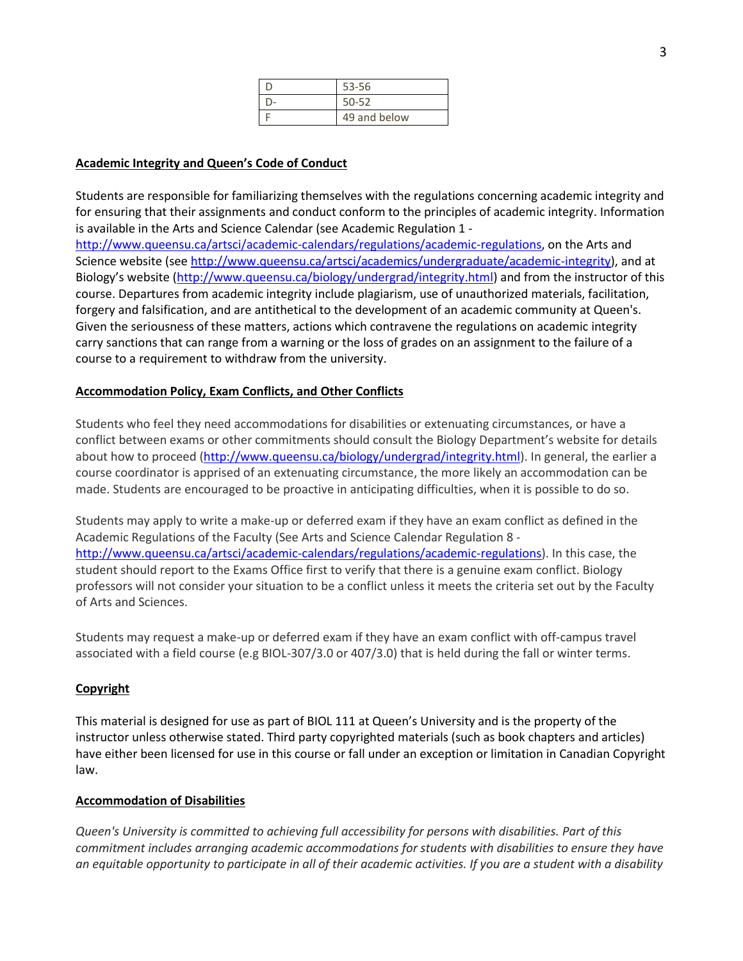| 53-56        |
|--------------|
| $50 - 52$    |
| 49 and below |

## **Academic Integrity and Queen's Code of Conduct**

Students are responsible for familiarizing themselves with the regulations concerning academic integrity and for ensuring that their assignments and conduct conform to the principles of academic integrity. Information is available in the Arts and Science Calendar (see Academic Regulation 1 -

[http://www.queensu.ca/artsci/academic-calendars/regulations/academic-regulations,](http://www.queensu.ca/artsci/academic-calendars/regulations/academic-regulations) on the Arts and Science website (see [http://www.queensu.ca/artsci/academics/undergraduate/academic-integrity\)](http://www.queensu.ca/artsci/academics/undergraduate/academic-integrity), and at Biology's website ([http://www.queensu.ca/biology/undergrad/integrity.html\)](http://www.queensu.ca/biology/undergrad/integrity.html) and from the instructor of this course. Departures from academic integrity include plagiarism, use of unauthorized materials, facilitation, forgery and falsification, and are antithetical to the development of an academic community at Queen's. Given the seriousness of these matters, actions which contravene the regulations on academic integrity carry sanctions that can range from a warning or the loss of grades on an assignment to the failure of a course to a requirement to withdraw from the university.

## **Accommodation Policy, Exam Conflicts, and Other Conflicts**

Students who feel they need accommodations for disabilities or extenuating circumstances, or have a conflict between exams or other commitments should consult the Biology Department's website for details about how to proceed [\(http://www.queensu.ca/biology/undergrad/integrity.html\)](http://www.queensu.ca/biology/undergrad/integrity.html). In general, the earlier a course coordinator is apprised of an extenuating circumstance, the more likely an accommodation can be made. Students are encouraged to be proactive in anticipating difficulties, when it is possible to do so.

Students may apply to write a make-up or deferred exam if they have an exam conflict as defined in the Academic Regulations of the Faculty (See Arts and Science Calendar Regulation 8 [http://www.queensu.ca/artsci/academic-calendars/regulations/academic-regulations\)](http://www.queensu.ca/artsci/academic-calendars/regulations/academic-regulations). In this case, the student should report to the Exams Office first to verify that there is a genuine exam conflict. Biology professors will not consider your situation to be a conflict unless it meets the criteria set out by the Faculty of Arts and Sciences.

Students may request a make-up or deferred exam if they have an exam conflict with off-campus travel associated with a field course (e.g BIOL-307/3.0 or 407/3.0) that is held during the fall or winter terms.

# **Copyright**

This material is designed for use as part of BIOL 111 at Queen's University and is the property of the instructor unless otherwise stated. Third party copyrighted materials (such as book chapters and articles) have either been licensed for use in this course or fall under an exception or limitation in Canadian Copyright law.

## **Accommodation of Disabilities**

*Queen's University is committed to achieving full accessibility for persons with disabilities. Part of this commitment includes arranging academic accommodations for students with disabilities to ensure they have an equitable opportunity to participate in all of their academic activities. If you are a student with a disability*